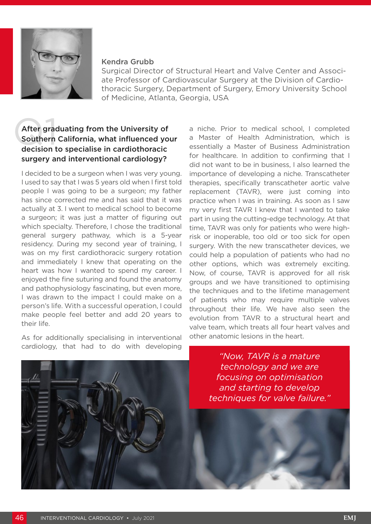

#### Kendra Grubb

Surgical Director of Structural Heart and Valve Center and Associate Professor of Cardiovascular Surgery at the Division of Cardiothoracic Surgery, Department of Surgery, Emory University School of Medicine, Atlanta, Georgia, USA

# After graduating from the University of<br>Southern California, what influenced yout<br>decision to specialise in cardiothoracic Southern California, what influenced your surgery and interventional cardiology?

I decided to be a surgeon when I was very young. I used to say that I was 5 years old when I first told people I was going to be a surgeon; my father has since corrected me and has said that it was actually at 3. I went to medical school to become a surgeon; it was just a matter of figuring out which specialty. Therefore, I chose the traditional general surgery pathway, which is a 5-year residency. During my second year of training, I was on my first cardiothoracic surgery rotation and immediately I knew that operating on the heart was how I wanted to spend my career. I enjoyed the fine suturing and found the anatomy and pathophysiology fascinating, but even more, I was drawn to the impact I could make on a person's life. With a successful operation, I could make people feel better and add 20 years to their life.

As for additionally specialising in interventional cardiology, that had to do with developing

a niche. Prior to medical school, I completed a Master of Health Administration, which is essentially a Master of Business Administration for healthcare. In addition to confirming that I did not want to be in business, I also learned the importance of developing a niche. Transcatheter therapies, specifically transcatheter aortic valve replacement (TAVR), were just coming into practice when I was in training. As soon as I saw my very first TAVR I knew that I wanted to take part in using the cutting-edge technology. At that time, TAVR was only for patients who were highrisk or inoperable, too old or too sick for open surgery. With the new transcatheter devices, we could help a population of patients who had no other options, which was extremely exciting. Now, of course, TAVR is approved for all risk groups and we have transitioned to optimising the techniques and to the lifetime management of patients who may require multiple valves throughout their life. We have also seen the evolution from TAVR to a structural heart and valve team, which treats all four heart valves and other anatomic lesions in the heart.

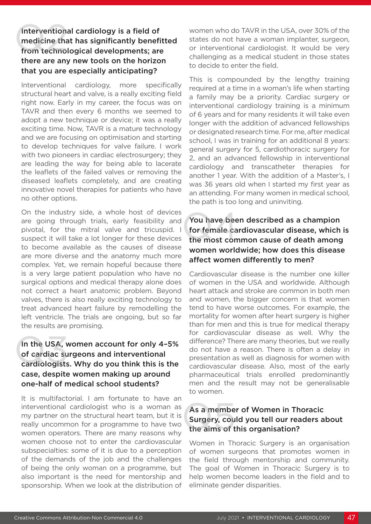#### Interventional cardiology is a field of medicine that has significantly benefitted from technological developments; are there are any new tools on the horizon that you are especially anticipating? Intervention<br>medicine that<br>from technol

Interventional cardiology, more specifically structural heart and valve, is a really exciting field right now. Early in my career, the focus was on TAVR and then every 6 months we seemed to adopt a new technique or device; it was a really exciting time. Now, TAVR is a mature technology and we are focusing on optimisation and starting to develop techniques for valve failure. I work with two pioneers in cardiac electrosurgery; they are leading the way for being able to lacerate the leaflets of the failed valves or removing the diseased leaflets completely, and are creating innovative novel therapies for patients who have no other options.

On the industry side, a whole host of devices are going through trials, early feasibility and pivotal, for the mitral valve and tricuspid. I suspect it will take a lot longer for these devices to become available as the causes of disease are more diverse and the anatomy much more complex. Yet, we remain hopeful because there is a very large patient population who have no surgical options and medical therapy alone does not correct a heart anatomic problem. Beyond valves, there is also really exciting technology to treat advanced heart failure by remodelling the left ventricle. The trials are ongoing, but so far the results are promising.

### In the USA, women account for only 4–5% of cardiac surgeons and interventional cardiologists. Why do you think this is the case, despite women making up around one-half of medical school students? In the USA, v<br>of cardiac su<br>cardiologists

It is multifactorial. I am fortunate to have an interventional cardiologist who is a woman as my partner on the structural heart team, but it is really uncommon for a programme to have two women operators. There are many reasons why women choose not to enter the cardiovascular subspecialties: some of it is due to a perception of the demands of the job and the challenges of being the only woman on a programme, but also important is the need for mentorship and sponsorship. When we look at the distribution of women who do TAVR in the USA, over 30% of the states do not have a woman implanter, surgeon, or interventional cardiologist. It would be very challenging as a medical student in those states to decide to enter the field.

This is compounded by the lengthy training required at a time in a woman's life when starting a family may be a priority. Cardiac surgery or interventional cardiology training is a minimum of 6 years and for many residents it will take even longer with the addition of advanced fellowships or designated research time. For me, after medical school, I was in training for an additional 8 years: general surgery for 5, cardiothoracic surgery for 2, and an advanced fellowship in interventional cardiology and transcatheter therapies for another 1 year. With the addition of a Master's, I was 36 years old when I started my first year as an attending. For many women in medical school, the path is too long and uninviting.

## You have been described as a champion for female cardiovascular disease, which is the most common cause of death among women worldwide; how does this disease affect women differently to men? You have bee<br>for female ca<br>the most com

Cardiovascular disease is the number one killer of women in the USA and worldwide. Although heart attack and stroke are common in both men and women, the bigger concern is that women tend to have worse outcomes. For example, the mortality for women after heart surgery is higher than for men and this is true for medical therapy for cardiovascular disease as well. Why the difference? There are many theories, but we really do not have a reason. There is often a delay in presentation as well as diagnosis for women with cardiovascular disease. Also, most of the early pharmaceutical trials enrolled predominantly men and the result may not be generalisable to women.

# As a member of Women in Thoracic Surgery, could you tell our readers about the aims of this organisation? As a membe<br>Surgery, cou<br>the aims of t

Women in Thoracic Surgery is an organisation of women surgeons that promotes women in the field through mentorship and community. The goal of Women in Thoracic Surgery is to help women become leaders in the field and to eliminate gender disparities.